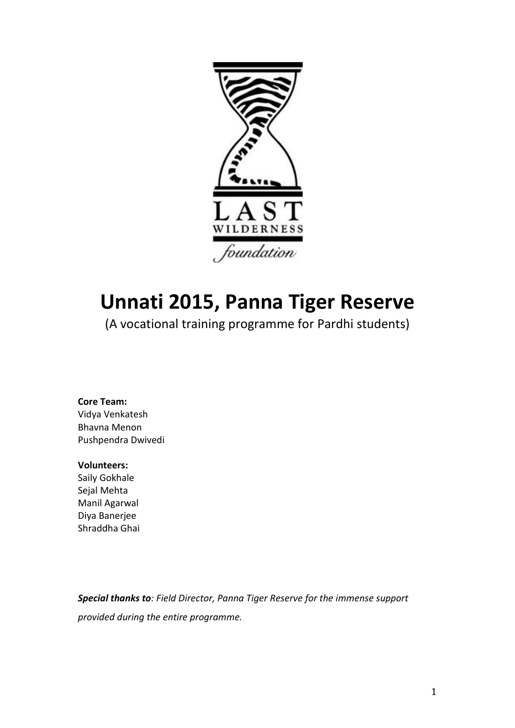

# **Unnati 2015, Panna Tiger Reserve**

(A vocational training programme for Pardhi students)

#### **Core Team:** Vidya Venkatesh Bhavna!Menon

Pushpendra Dwivedi

#### **Volunteers:&**

Saily Gokhale Sejal Mehta Manil Agarwal Diya!Banerjee Shraddha Ghai

**Special thanks to**: Field Director, Panna Tiger Reserve for the immense support *provided"during"the"entire"programme.*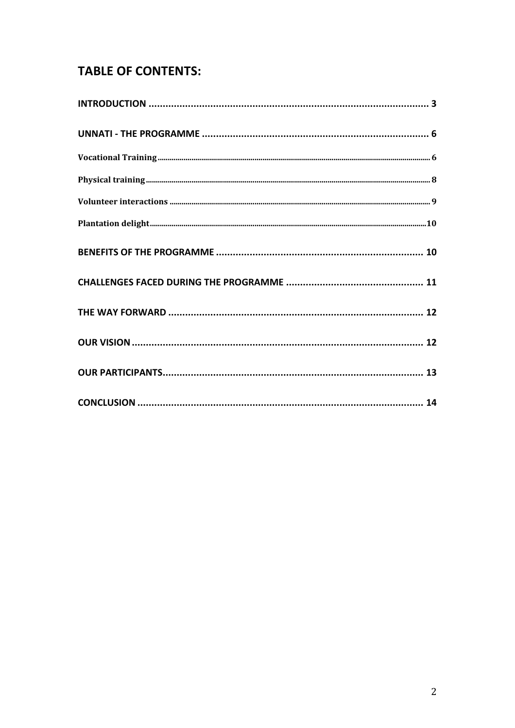# **TABLE OF CONTENTS:**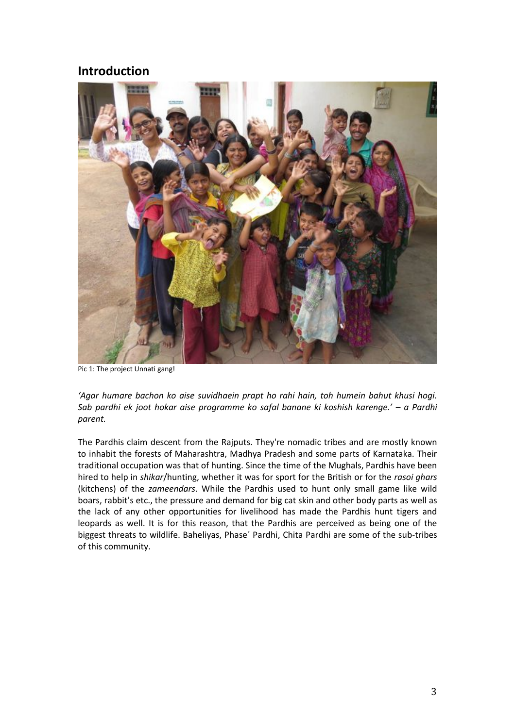#### **Introduction&**



Pic 1: The project Unnati gang!

*͚ŐĂƌ ŚƵŵĂƌĞ ďĂĐŚŽŶŬŽ ĂŝƐĞ ƐƵǀŝĚŚĂĞŝŶ ƉƌĂƉƚ ŚŽ ƌĂŚŝ ŚĂŝŶ͕ ƚŽŚ ŚƵŵĞŝŶ ďĂŚƵƚŬŚƵƐŝ ŚŽŐŝ͘ ^Ăď ƉĂƌĚŚŝĞŬ ũŽŽƚ ŚŽŬĂƌ ĂŝƐĞ ƉƌŽŐƌĂŵŵĞŬŽ ƐĂĨĂů ďĂŶĂŶĞ Ŭŝ ŬŽƐŚŝƐŚ ŬĂƌĞŶŐĞ͛͘ ʹ a" Pardhi" parent."*

The Pardhis claim descent from the Rajputs. They're nomadic tribes and are mostly known to inhabit the forests of Maharashtra, Madhya Pradesh and some parts of Karnataka. Their traditional occupation was that of hunting. Since the time of the Mughals, Pardhis have been hired to help in *shikar*/hunting, whether it was for sport for the British or for the *rasoi ghars* (kitchens) of the *zameendars*. While the Pardhis used to hunt only small game like wild boars, rabbit's etc., the pressure and demand for big cat skin and other body parts as well as the lack of any other opportunities for livelihood has made the Pardhis hunt tigers and leopards as well. It is for this reason, that the Pardhis are perceived as being one of the biggest threats to wildlife. Baheliyas, Phase' Pardhi, Chita Pardhi are some of the sub-tribes of this community.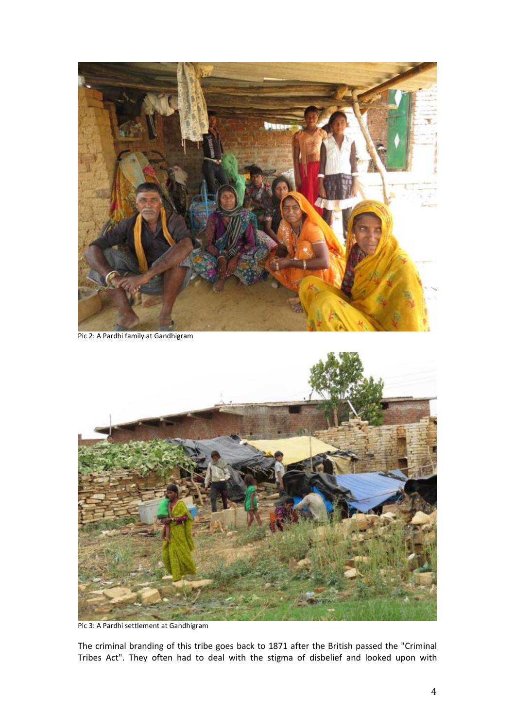

Pic 2: A Pardhi family at Gandhigram



Pic 3: A Pardhi settlement at Gandhigram

The criminal branding of this tribe goes back to 1871 after the British passed the "Criminal Tribes Act". They often had to deal with the stigma of disbelief and looked upon with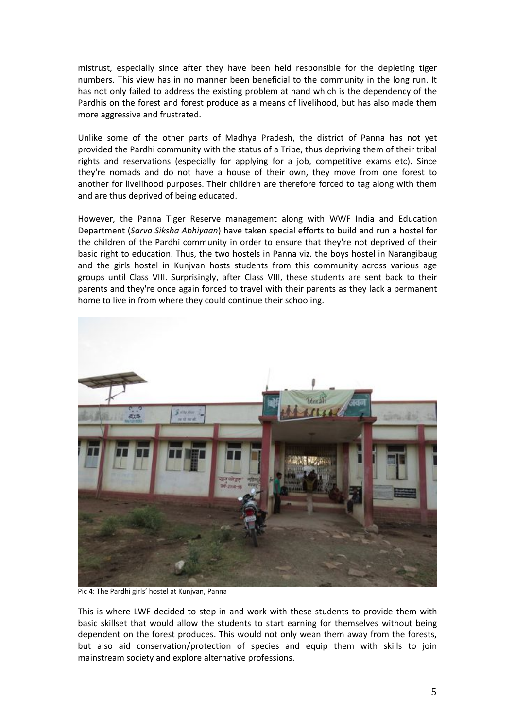mistrust, especially since after they have been held responsible for the depleting tiger numbers. This view has in no manner been beneficial to the community in the long run. It has not only failed to address the existing problem at hand which is the dependency of the Pardhis on the forest and forest produce as a means of livelihood, but has also made them more aggressive and frustrated.

Unlike some of the other parts of Madhya Pradesh, the district of Panna has not yet provided the Pardhi community with the status of a Tribe, thus depriving them of their tribal rights and reservations (especially for applying for a job, competitive exams etc). Since they're nomads and do not have a house of their own, they move from one forest to another for livelihood purposes. Their children are therefore forced to tag along with them and are thus deprived of being educated.

However, the Panna Tiger Reserve management along with WWF India and Education Department (*Sarva Siksha Abhiyaan*) have taken special efforts to build and run a hostel for the children of the Pardhi community in order to ensure that they're not deprived of their basic right to education. Thus, the two hostels in Panna viz. the boys hostel in Narangibaug and the girls hostel in Kunjvan hosts students from this community across various age groups until Class VIII. Surprisingly, after Class VIII, these students are sent back to their parents and they're once again forced to travel with their parents as they lack a permanent home to live in from where they could continue their schooling.



Pic 4: The Pardhi girls' hostel at Kunjvan, Panna

This is where LWF decided to step-in and work with these students to provide them with basic skillset that would allow the students to start earning for themselves without being dependent on the forest produces. This would not only wean them away from the forests, but also aid conservation/protection of species and equip them with skills to join mainstream society and explore alternative professions.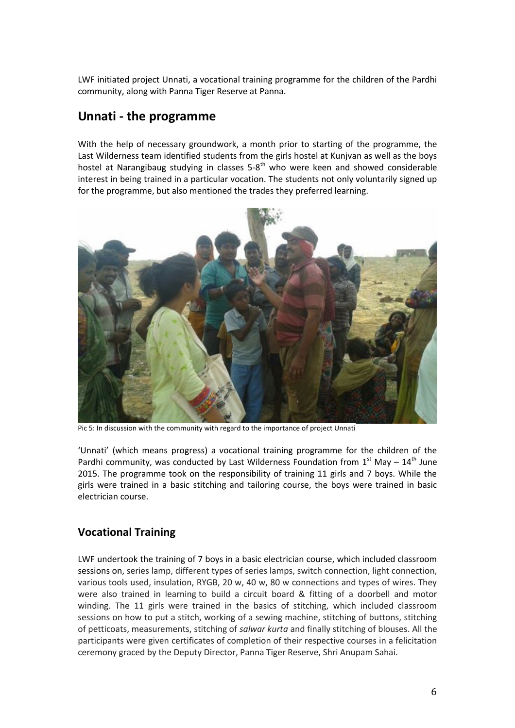LWF initiated project Unnati, a vocational training programme for the children of the Pardhi community, along with Panna Tiger Reserve at Panna.

# **Unnati - the programme**

With the help of necessary groundwork, a month prior to starting of the programme, the Last Wilderness team identified students from the girls hostel at Kunjvan as well as the boys hostel at Narangibaug studying in classes  $5-8<sup>th</sup>$  who were keen and showed considerable interest in being trained in a particular vocation. The students not only voluntarily signed up for the programme, but also mentioned the trades they preferred learning.



Pic 5: In discussion with the community with regard to the importance of project Unnati

'Unnati' (which means progress) a vocational training programme for the children of the Pardhi community, was conducted by Last Wilderness Foundation from  $1^{st}$  May  $- 14^{th}$  June 2015. The programme took on the responsibility of training 11 girls and 7 boys. While the girls were trained in a basic stitching and tailoring course, the boys were trained in basic electrician course.

### **Vocational&Training**

LWF undertook the training of 7 boys in a basic electrician course, which included classroom sessions on, series lamp, different types of series lamps, switch connection, light connection, various tools used, insulation, RYGB, 20 w, 40 w, 80 w connections and types of wires. They were also trained in learning to build a circuit board & fitting of a doorbell and motor winding. The 11 girls were trained in the basics of stitching, which included classroom sessions on how to put a stitch, working of a sewing machine, stitching of buttons, stitching of petticoats, measurements, stitching of *salwar kurta* and finally stitching of blouses. All the participants were given certificates of completion of their respective courses in a felicitation ceremony graced by the Deputy Director, Panna Tiger Reserve, Shri Anupam Sahai.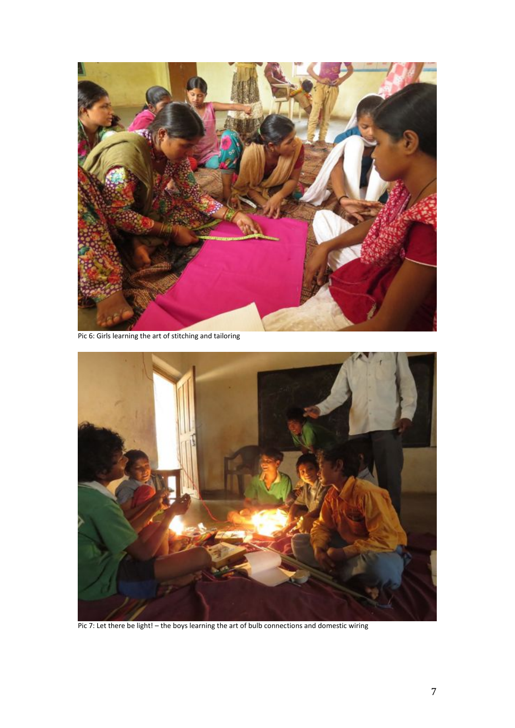

Pic 6: Girls learning the art of stitching and tailoring



Pic 7: Let there be light! - the boys learning the art of bulb connections and domestic wiring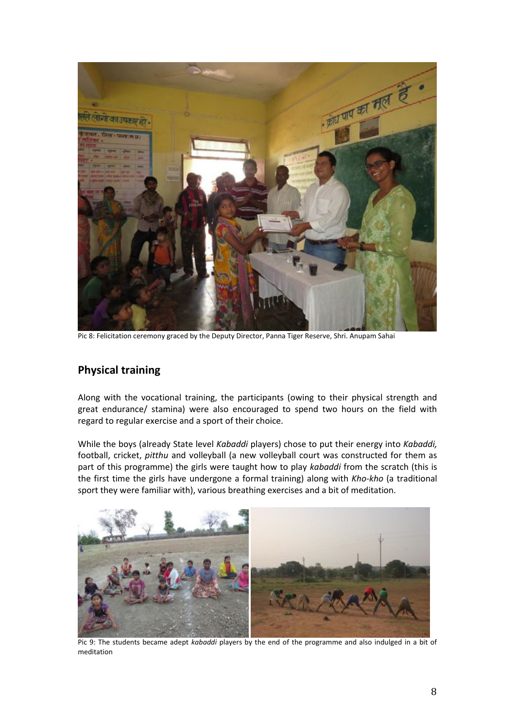

Pic 8: Felicitation ceremony graced by the Deputy Director, Panna Tiger Reserve, Shri. Anupam Sahai

#### **Physical training**

Along with the vocational training, the participants (owing to their physical strength and great endurance/ stamina) were also encouraged to spend two hours on the field with regard to regular exercise and a sport of their choice.

While the boys (already State level *Kabaddi* players) chose to put their energy into *Kabaddi*, football, cricket, *pitthu* and volleyball (a new volleyball court was constructed for them as part of this programme) the girls were taught how to play *kabaddi* from the scratch (this is the first time the girls have undergone a formal training) along with *Kho-kho* (a traditional sport they were familiar with), various breathing exercises and a bit of meditation.



Pic 9: The students became adept *kabaddi* players by the end of the programme and also indulged in a bit of meditation!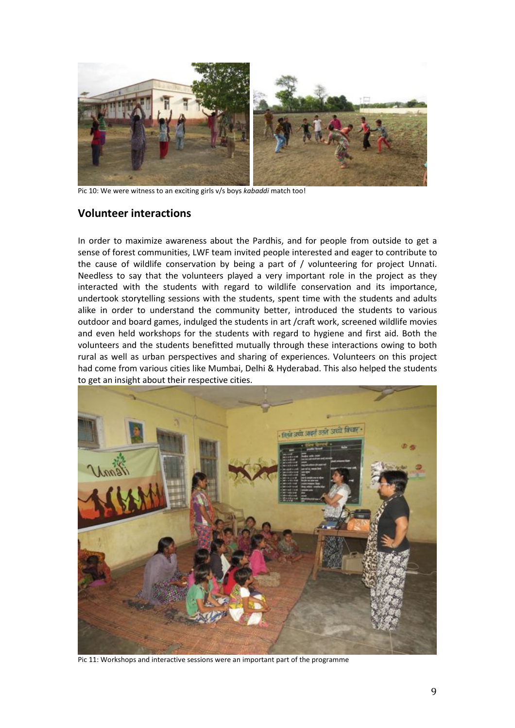

Pic 10: We were witness to an exciting girls v/s boys *kabaddi* match too!

#### **Volunteer interactions**

In order to maximize awareness about the Pardhis, and for people from outside to get a sense of forest communities, LWF team invited people interested and eager to contribute to the cause of wildlife conservation by being a part of  $/$  volunteering for project Unnati. Needless to say that the volunteers played a very important role in the project as they interacted with the students with regard to wildlife conservation and its importance, undertook storytelling sessions with the students, spent time with the students and adults alike in order to understand the community better, introduced the students to various outdoor and board games, indulged the students in art /craft work, screened wildlife movies and even held workshops for the students with regard to hygiene and first aid. Both the volunteers and the students benefitted mutually through these interactions owing to both rural as well as urban perspectives and sharing of experiences. Volunteers on this project had come from various cities like Mumbai, Delhi & Hyderabad. This also helped the students to get an insight about their respective cities.



Pic 11: Workshops and interactive sessions were an important part of the programme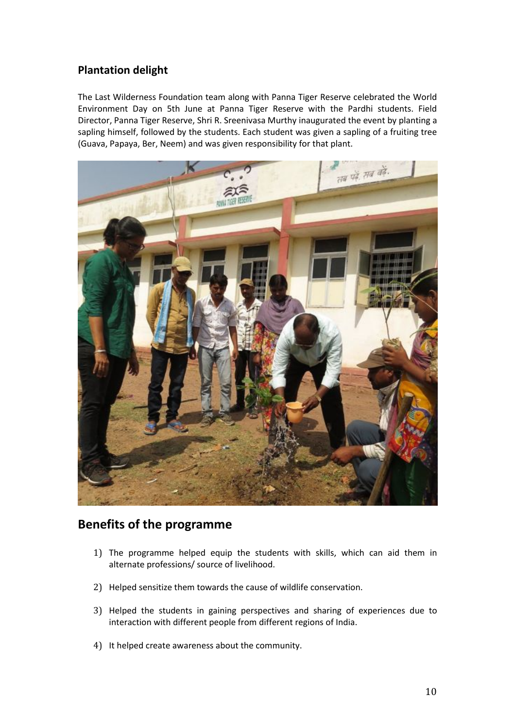### **Plantation delight**

The Last Wilderness Foundation team along with Panna Tiger Reserve celebrated the World Environment Day on 5th June at Panna Tiger Reserve with the Pardhi students. Field Director, Panna Tiger Reserve, Shri R. Sreenivasa Murthy inaugurated the event by planting a sapling himself, followed by the students. Each student was given a sapling of a fruiting tree (Guava, Papaya, Ber, Neem) and was given responsibility for that plant.



### **Benefits of the programme**

- 1) The programme helped equip the students with skills, which can aid them in alternate professions/ source of livelihood.
- 2) Helped sensitize them towards the cause of wildlife conservation.
- 3) Helped the students in gaining perspectives and sharing of experiences due to interaction with different people from different regions of India.
- 4) It helped create awareness about the community.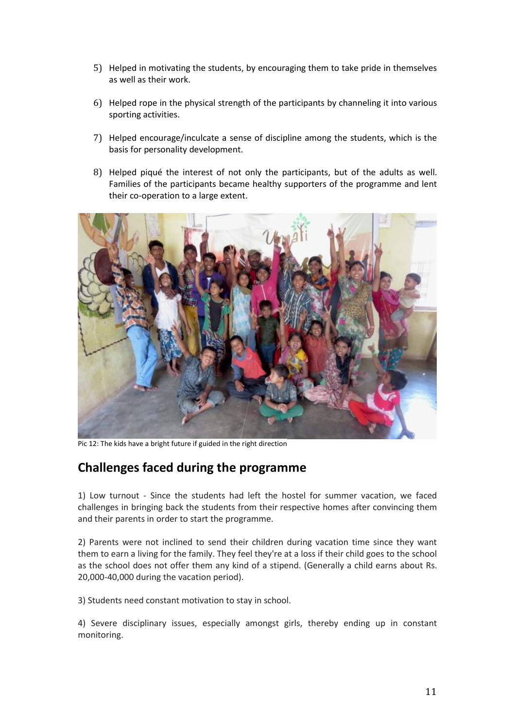- 5) Helped in motivating the students, by encouraging them to take pride in themselves as well as their work.
- 6) Helped rope in the physical strength of the participants by channeling it into various sporting activities.
- 7) Helped encourage/inculcate a sense of discipline among the students, which is the basis for personality development.
- 8) Helped piqué the interest of not only the participants, but of the adults as well. Families of the participants became healthy supporters of the programme and lent their co-operation to a large extent.



Pic 12: The kids have a bright future if guided in the right direction

## **Challenges faced during the programme**

1) Low turnout - Since the students had left the hostel for summer vacation, we faced challenges in bringing back the students from their respective homes after convincing them and their parents in order to start the programme.

2) Parents were not inclined to send their children during vacation time since they want them to earn a living for the family. They feel they're at a loss if their child goes to the school as the school does not offer them any kind of a stipend. (Generally a child earns about Rs. 20,000-40,000 during the vacation period).

3) Students need constant motivation to stay in school.

4) Severe disciplinary issues, especially amongst girls, thereby ending up in constant monitoring.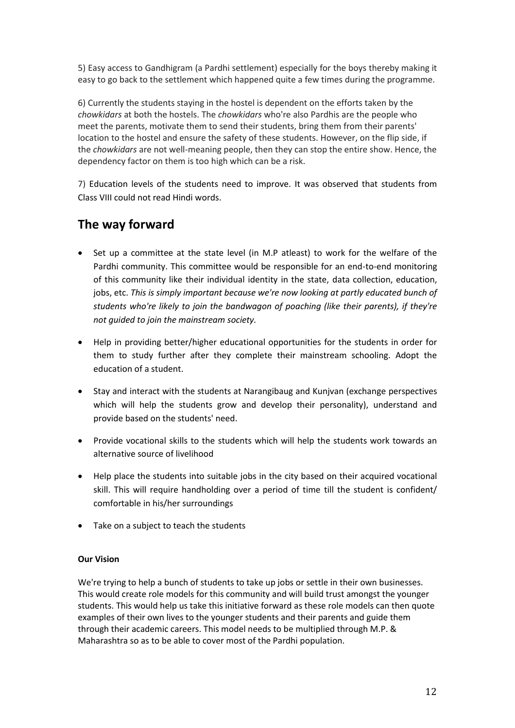5) Easy access to Gandhigram (a Pardhi settlement) especially for the boys thereby making it easy to go back to the settlement which happened quite a few times during the programme.

6) Currently the students staying in the hostel is dependent on the efforts taken by the *chowkidars* at both the hostels. The *chowkidars* who're also Pardhis are the people who meet the parents, motivate them to send their students, bring them from their parents' location to the hostel and ensure the safety of these students. However, on the flip side, if the *chowkidars* are not well-meaning people, then they can stop the entire show. Hence, the dependency factor on them is too high which can be a risk.

7) Education levels of the students need to improve. It was observed that students from Class VIII could not read Hindi words.

# **The way forward**

- Set up a committee at the state level (in M.P atleast) to work for the welfare of the Pardhi community. This committee would be responsible for an end-to-end monitoring of this community like their individual identity in the state, data collection, education, jobs, etc. This is simply important because we're now looking at partly educated bunch of students who're likely to join the bandwagon of poaching (like their parents), if they're not quided to join the mainstream society.
- Help in providing better/higher educational opportunities for the students in order for them to study further after they complete their mainstream schooling. Adopt the education of a student.
- Stay and interact with the students at Narangibaug and Kunjvan (exchange perspectives which will help the students grow and develop their personality), understand and provide based on the students' need.
- Provide vocational skills to the students which will help the students work towards an alternative source of livelihood
- Help place the students into suitable jobs in the city based on their acquired vocational skill. This will require handholding over a period of time till the student is confident/ comfortable in his/her surroundings
- $\bullet$  Take on a subject to teach the students

#### **Our Vision**

We're trying to help a bunch of students to take up jobs or settle in their own businesses. This would create role models for this community and will build trust amongst the younger students. This would help us take this initiative forward as these role models can then quote examples of their own lives to the younger students and their parents and guide them through their academic careers. This model needs to be multiplied through M.P. & Maharashtra so as to be able to cover most of the Pardhi population.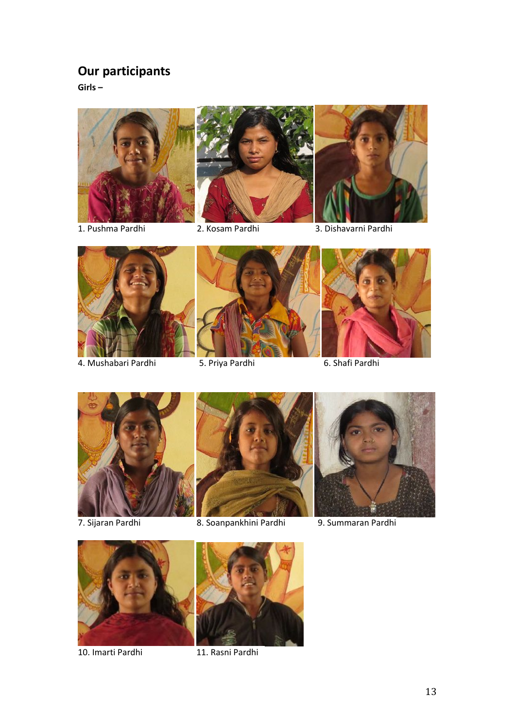# **Our participants**

**Girls** –







1. Pushma Pardhi | 2. Kosam Pardhi | 3. Dishavarni Pardhi



- 4. Mushabari Pardhi | 5. Priya Pardhi | 6. Shafi Pardhi
- 







7. Sijaran Pardhi | 8. Soanpankhini Pardhi | 9. Summaran Pardhi





10. Imarti Pardhi | 11. Rasni Pardhi